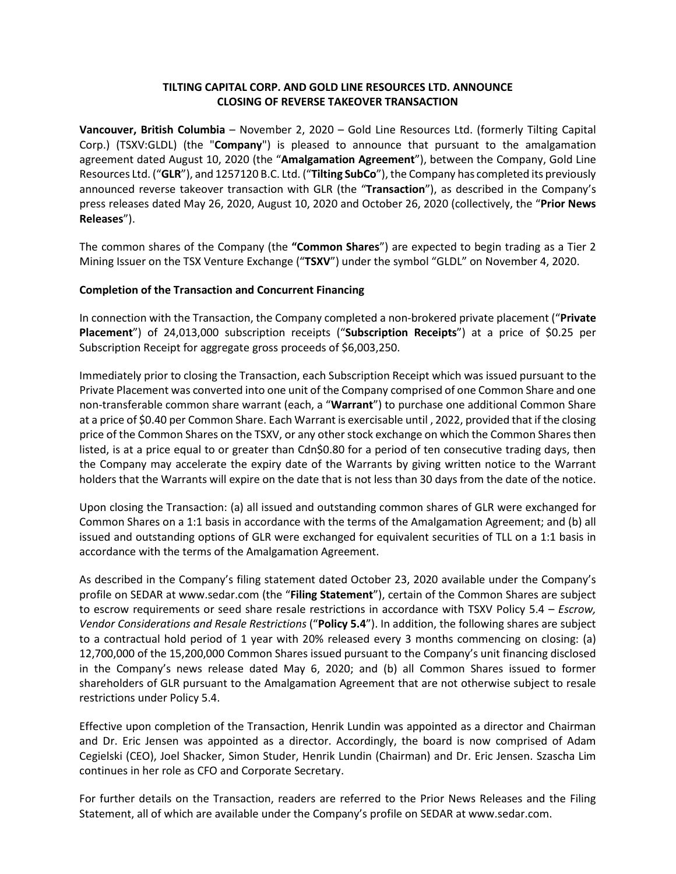# **TILTING CAPITAL CORP. AND GOLD LINE RESOURCES LTD. ANNOUNCE CLOSING OF REVERSE TAKEOVER TRANSACTION**

**Vancouver, British Columbia** – November 2, 2020 – Gold Line Resources Ltd. (formerly Tilting Capital Corp.) (TSXV:GLDL) (the "**Company**") is pleased to announce that pursuant to the amalgamation agreement dated August 10, 2020 (the "**Amalgamation Agreement**"), between the Company, Gold Line Resources Ltd. ("**GLR**"), and 1257120 B.C. Ltd. ("**Tilting SubCo**"), the Company has completed its previously announced reverse takeover transaction with GLR (the "**Transaction**"), as described in the Company's press releases dated May 26, 2020, August 10, 2020 and October 26, 2020 (collectively, the "**Prior News Releases**").

The common shares of the Company (the **"Common Shares**") are expected to begin trading as a Tier 2 Mining Issuer on the TSX Venture Exchange ("**TSXV**") under the symbol "GLDL" on November 4, 2020.

## **Completion of the Transaction and Concurrent Financing**

In connection with the Transaction, the Company completed a non-brokered private placement ("**Private Placement**") of 24,013,000 subscription receipts ("**Subscription Receipts**") at a price of \$0.25 per Subscription Receipt for aggregate gross proceeds of \$6,003,250.

Immediately prior to closing the Transaction, each Subscription Receipt which was issued pursuant to the Private Placement was converted into one unit of the Company comprised of one Common Share and one non-transferable common share warrant (each, a "**Warrant**") to purchase one additional Common Share at a price of \$0.40 per Common Share. Each Warrant is exercisable until , 2022, provided that if the closing price of the Common Shares on the TSXV, or any other stock exchange on which the Common Shares then listed, is at a price equal to or greater than Cdn\$0.80 for a period of ten consecutive trading days, then the Company may accelerate the expiry date of the Warrants by giving written notice to the Warrant holders that the Warrants will expire on the date that is not less than 30 days from the date of the notice.

Upon closing the Transaction: (a) all issued and outstanding common shares of GLR were exchanged for Common Shares on a 1:1 basis in accordance with the terms of the Amalgamation Agreement; and (b) all issued and outstanding options of GLR were exchanged for equivalent securities of TLL on a 1:1 basis in accordance with the terms of the Amalgamation Agreement.

As described in the Company's filing statement dated October 23, 2020 available under the Company's profile on SEDAR at www.sedar.com (the "**Filing Statement**"), certain of the Common Shares are subject to escrow requirements or seed share resale restrictions in accordance with TSXV Policy 5.4 – *Escrow, Vendor Considerations and Resale Restrictions* ("**Policy 5.4**"). In addition, the following shares are subject to a contractual hold period of 1 year with 20% released every 3 months commencing on closing: (a) 12,700,000 of the 15,200,000 Common Shares issued pursuant to the Company's unit financing disclosed in the Company's news release dated May 6, 2020; and (b) all Common Shares issued to former shareholders of GLR pursuant to the Amalgamation Agreement that are not otherwise subject to resale restrictions under Policy 5.4.

Effective upon completion of the Transaction, Henrik Lundin was appointed as a director and Chairman and Dr. Eric Jensen was appointed as a director. Accordingly, the board is now comprised of Adam Cegielski (CEO), Joel Shacker, Simon Studer, Henrik Lundin (Chairman) and Dr. Eric Jensen. Szascha Lim continues in her role as CFO and Corporate Secretary.

For further details on the Transaction, readers are referred to the Prior News Releases and the Filing Statement, all of which are available under the Company's profile on SEDAR at www.sedar.com.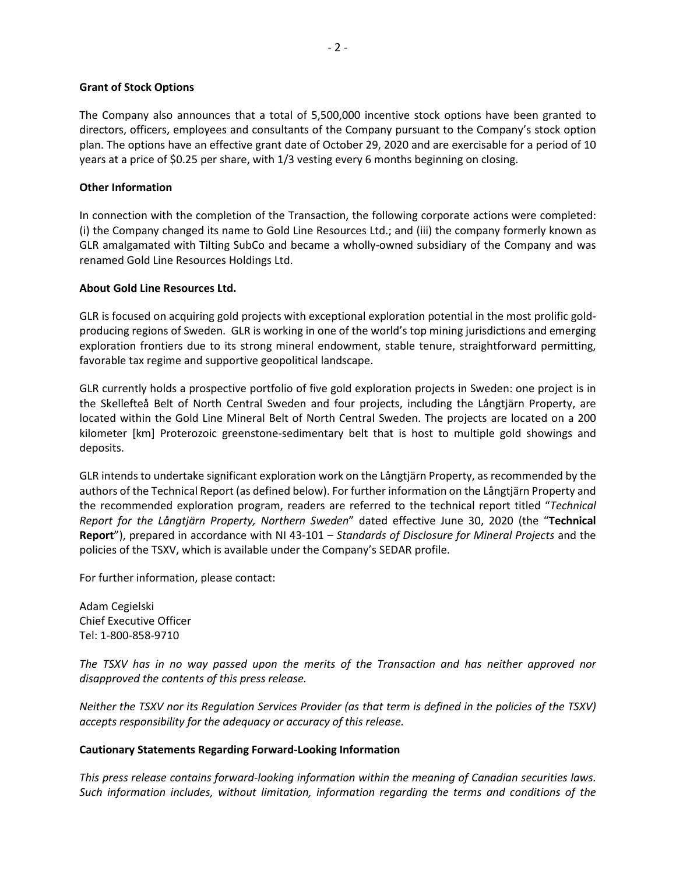#### **Grant of Stock Options**

The Company also announces that a total of 5,500,000 incentive stock options have been granted to directors, officers, employees and consultants of the Company pursuant to the Company's stock option plan. The options have an effective grant date of October 29, 2020 and are exercisable for a period of 10 years at a price of \$0.25 per share, with 1/3 vesting every 6 months beginning on closing.

### **Other Information**

In connection with the completion of the Transaction, the following corporate actions were completed: (i) the Company changed its name to Gold Line Resources Ltd.; and (iii) the company formerly known as GLR amalgamated with Tilting SubCo and became a wholly-owned subsidiary of the Company and was renamed Gold Line Resources Holdings Ltd.

## **About Gold Line Resources Ltd.**

GLR is focused on acquiring gold projects with exceptional exploration potential in the most prolific goldproducing regions of Sweden. GLR is working in one of the world's top mining jurisdictions and emerging exploration frontiers due to its strong mineral endowment, stable tenure, straightforward permitting, favorable tax regime and supportive geopolitical landscape.

GLR currently holds a prospective portfolio of five gold exploration projects in Sweden: one project is in the Skellefteå Belt of North Central Sweden and four projects, including the Långtjärn Property, are located within the Gold Line Mineral Belt of North Central Sweden. The projects are located on a 200 kilometer [km] Proterozoic greenstone-sedimentary belt that is host to multiple gold showings and deposits.

GLR intends to undertake significant exploration work on the Långtjärn Property, as recommended by the authors of the Technical Report (as defined below). For further information on the Långtjärn Property and the recommended exploration program, readers are referred to the technical report titled "*Technical Report for the Långtjärn Property, Northern Sweden*" dated effective June 30, 2020 (the "**Technical Report**"), prepared in accordance with NI 43-101 – *Standards of Disclosure for Mineral Projects* and the policies of the TSXV, which is available under the Company's SEDAR profile.

For further information, please contact:

Adam Cegielski Chief Executive Officer Tel: 1-800-858-9710

*The TSXV has in no way passed upon the merits of the Transaction and has neither approved nor disapproved the contents of this press release.*

*Neither the TSXV nor its Regulation Services Provider (as that term is defined in the policies of the TSXV) accepts responsibility for the adequacy or accuracy of this release.*

## **Cautionary Statements Regarding Forward-Looking Information**

*This press release contains forward-looking information within the meaning of Canadian securities laws. Such information includes, without limitation, information regarding the terms and conditions of the*